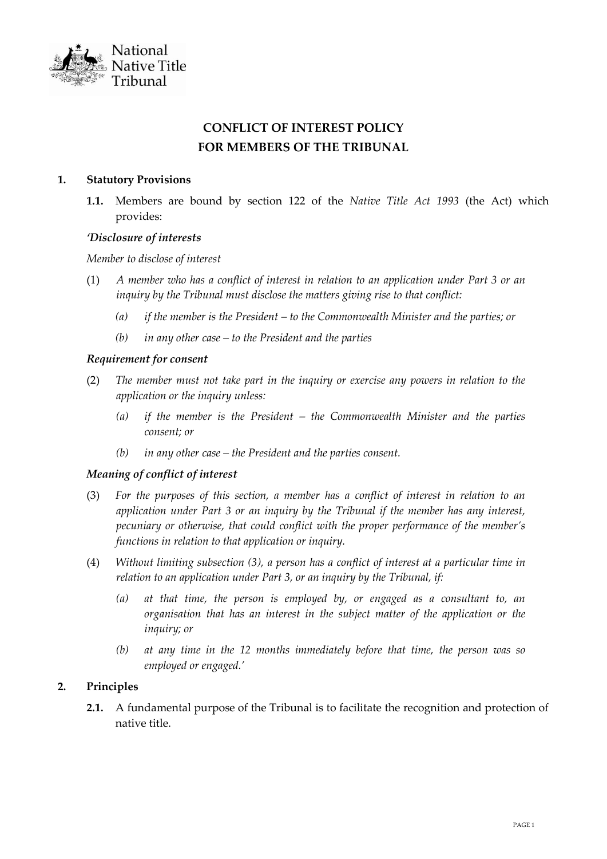

# **CONFLICT OF INTEREST POLICY FOR MEMBERS OF THE TRIBUNAL**

## **1. Statutory Provisions**

**1.1.** Members are bound by section 122 of the *Native Title Act 1993* (the Act) which provides:

## *'Disclosure of interests*

## *Member to disclose of interest*

- (1) *A member who has a conflict of interest in relation to an application under Part 3 or an inquiry by the Tribunal must disclose the matters giving rise to that conflict:*
	- *(a) if the member is the President – to the Commonwealth Minister and the parties; or*
	- *(b) in any other case – to the President and the parties*

#### *Requirement for consent*

- (2) *The member must not take part in the inquiry or exercise any powers in relation to the application or the inquiry unless:*
	- *(a) if the member is the President – the Commonwealth Minister and the parties consent; or*
	- *(b) in any other case – the President and the parties consent.*

# *Meaning of conflict of interest*

- (3) *For the purposes of this section, a member has a conflict of interest in relation to an application under Part 3 or an inquiry by the Tribunal if the member has any interest, pecuniary or otherwise, that could conflict with the proper performance of the member's functions in relation to that application or inquiry.*
- (4) *Without limiting subsection (3), a person has a conflict of interest at a particular time in relation to an application under Part 3, or an inquiry by the Tribunal, if:*
	- *(a) at that time, the person is employed by, or engaged as a consultant to, an organisation that has an interest in the subject matter of the application or the inquiry; or*
	- *(b) at any time in the 12 months immediately before that time, the person was so employed or engaged.'*

# **2. Principles**

**2.1.** A fundamental purpose of the Tribunal is to facilitate the recognition and protection of native title.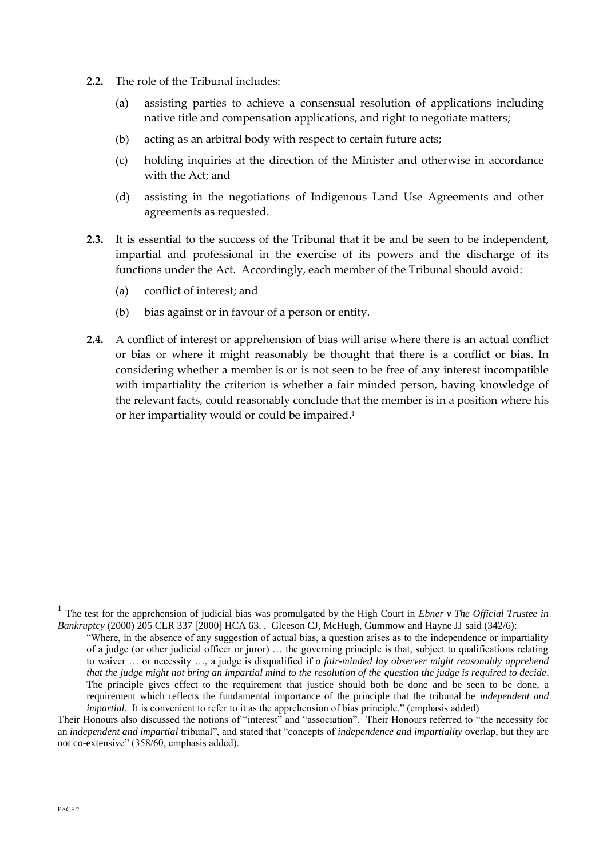- **2.2.** The role of the Tribunal includes:
	- (a) assisting parties to achieve a consensual resolution of applications including native title and compensation applications, and right to negotiate matters;
	- (b) acting as an arbitral body with respect to certain future acts;
	- (c) holding inquiries at the direction of the Minister and otherwise in accordance with the Act; and
	- (d) assisting in the negotiations of Indigenous Land Use Agreements and other agreements as requested.
- **2.3.** It is essential to the success of the Tribunal that it be and be seen to be independent, impartial and professional in the exercise of its powers and the discharge of its functions under the Act. Accordingly, each member of the Tribunal should avoid:
	- (a) conflict of interest; and
	- (b) bias against or in favour of a person or entity.
- **2.4.** A conflict of interest or apprehension of bias will arise where there is an actual conflict or bias or where it might reasonably be thought that there is a conflict or bias. In considering whether a member is or is not seen to be free of any interest incompatible with impartiality the criterion is whether a fair minded person, having knowledge of the relevant facts, could reasonably conclude that the member is in a position where his or her impartiality would or could be impaired.<sup>1</sup>

<sup>1</sup> The test for the apprehension of judicial bias was promulgated by the High Court in *Ebner v The Official Trustee in Bankruptcy* (2000) 205 CLR 337 [2000] HCA 63. . Gleeson CJ, McHugh, Gummow and Hayne JJ said (342/6):

<sup>&</sup>quot;Where, in the absence of any suggestion of actual bias, a question arises as to the independence or impartiality of a judge (or other judicial officer or juror) … the governing principle is that, subject to qualifications relating to waiver … or necessity …, a judge is disqualified if *a fair-minded lay observer might reasonably apprehend that the judge might not bring an impartial mind to the resolution of the question the judge is required to decide*. The principle gives effect to the requirement that justice should both be done and be seen to be done, a requirement which reflects the fundamental importance of the principle that the tribunal be *independent and impartial*. It is convenient to refer to it as the apprehension of bias principle." (emphasis added)

Their Honours also discussed the notions of "interest" and "association". Their Honours referred to "the necessity for an *independent and impartial* tribunal", and stated that "concepts of *independence and impartiality* overlap, but they are not co-extensive" (358/60, emphasis added).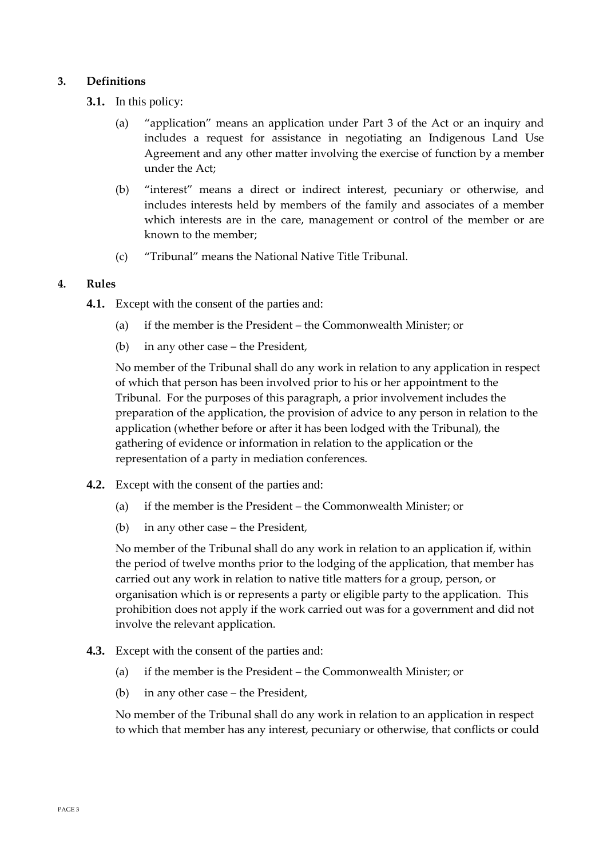# **3. Definitions**

- **3.1.** In this policy:
	- (a) "application" means an application under Part 3 of the Act or an inquiry and includes a request for assistance in negotiating an Indigenous Land Use Agreement and any other matter involving the exercise of function by a member under the Act;
	- (b) "interest" means a direct or indirect interest, pecuniary or otherwise, and includes interests held by members of the family and associates of a member which interests are in the care, management or control of the member or are known to the member;
	- (c) "Tribunal" means the National Native Title Tribunal.

# **4. Rules**

- **4.1.** Except with the consent of the parties and:
	- (a) if the member is the President the Commonwealth Minister; or
	- (b) in any other case the President,

No member of the Tribunal shall do any work in relation to any application in respect of which that person has been involved prior to his or her appointment to the Tribunal. For the purposes of this paragraph, a prior involvement includes the preparation of the application, the provision of advice to any person in relation to the application (whether before or after it has been lodged with the Tribunal), the gathering of evidence or information in relation to the application or the representation of a party in mediation conferences.

- **4.2.** Except with the consent of the parties and:
	- (a) if the member is the President the Commonwealth Minister; or
	- (b) in any other case the President,

No member of the Tribunal shall do any work in relation to an application if, within the period of twelve months prior to the lodging of the application, that member has carried out any work in relation to native title matters for a group, person, or organisation which is or represents a party or eligible party to the application. This prohibition does not apply if the work carried out was for a government and did not involve the relevant application.

- **4.3.** Except with the consent of the parties and:
	- (a) if the member is the President the Commonwealth Minister; or
	- (b) in any other case the President,

No member of the Tribunal shall do any work in relation to an application in respect to which that member has any interest, pecuniary or otherwise, that conflicts or could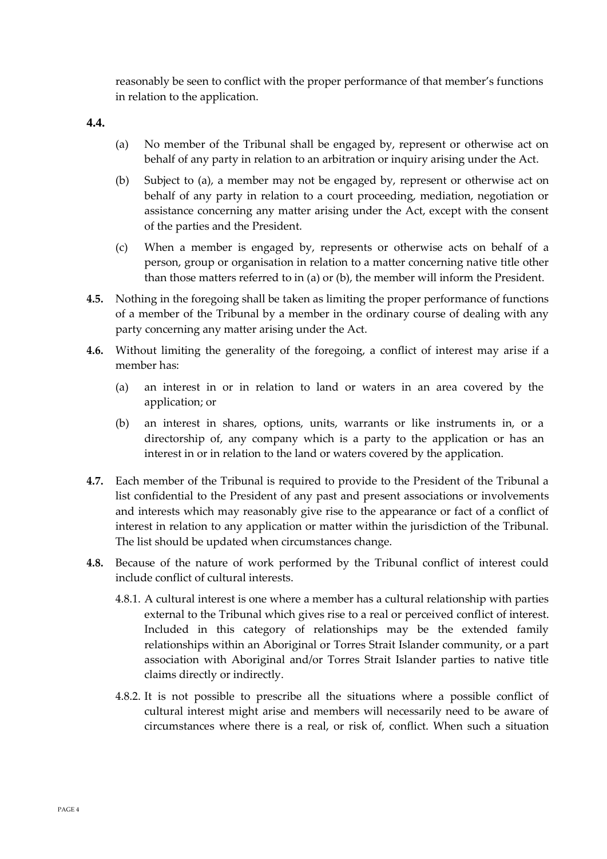reasonably be seen to conflict with the proper performance of that member's functions in relation to the application.

**4.4.**

- (a) No member of the Tribunal shall be engaged by, represent or otherwise act on behalf of any party in relation to an arbitration or inquiry arising under the Act.
- (b) Subject to (a), a member may not be engaged by, represent or otherwise act on behalf of any party in relation to a court proceeding, mediation, negotiation or assistance concerning any matter arising under the Act, except with the consent of the parties and the President.
- (c) When a member is engaged by, represents or otherwise acts on behalf of a person, group or organisation in relation to a matter concerning native title other than those matters referred to in (a) or (b), the member will inform the President.
- **4.5.** Nothing in the foregoing shall be taken as limiting the proper performance of functions of a member of the Tribunal by a member in the ordinary course of dealing with any party concerning any matter arising under the Act.
- **4.6.** Without limiting the generality of the foregoing, a conflict of interest may arise if a member has:
	- (a) an interest in or in relation to land or waters in an area covered by the application; or
	- (b) an interest in shares, options, units, warrants or like instruments in, or a directorship of, any company which is a party to the application or has an interest in or in relation to the land or waters covered by the application.
- **4.7.** Each member of the Tribunal is required to provide to the President of the Tribunal a list confidential to the President of any past and present associations or involvements and interests which may reasonably give rise to the appearance or fact of a conflict of interest in relation to any application or matter within the jurisdiction of the Tribunal. The list should be updated when circumstances change.
- **4.8.** Because of the nature of work performed by the Tribunal conflict of interest could include conflict of cultural interests.
	- 4.8.1. A cultural interest is one where a member has a cultural relationship with parties external to the Tribunal which gives rise to a real or perceived conflict of interest. Included in this category of relationships may be the extended family relationships within an Aboriginal or Torres Strait Islander community, or a part association with Aboriginal and/or Torres Strait Islander parties to native title claims directly or indirectly.
	- 4.8.2. It is not possible to prescribe all the situations where a possible conflict of cultural interest might arise and members will necessarily need to be aware of circumstances where there is a real, or risk of, conflict. When such a situation